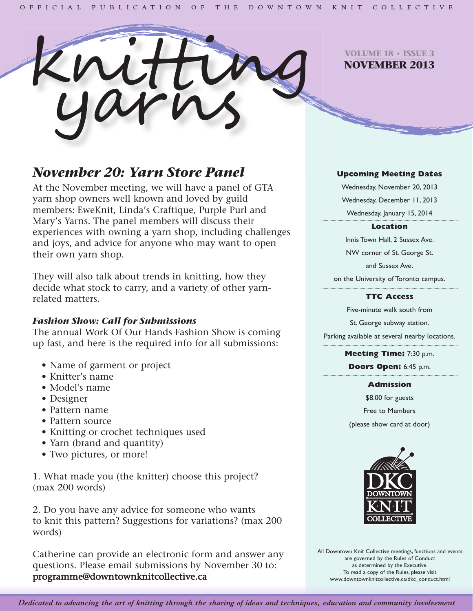

**VOLUME 18 • ISSUE 3 NOVEMBER 2013**

# *November 20: Yarn Store Panel*

At the November meeting, we will have a panel of GTA yarn shop owners well known and loved by guild members: EweKnit, Linda's Craftique, Purple Purl and Mary's Yarns. The panel members will discuss their experiences with owning a yarn shop, including challenges and joys, and advice for anyone who may want to open their own yarn shop.

They will also talk about trends in knitting, how they decide what stock to carry, and a variety of other yarnrelated matters.

## *Fashion Show: Call for Submissions*

The annual Work Of Our Hands Fashion Show is coming up fast, and here is the required info for all submissions:

- Name of garment or project
- Knitter's name
- Model's name
- Designer
- Pattern name
- Pattern source
- Knitting or crochet techniques used
- Yarn (brand and quantity)
- Two pictures, or more!

1. What made you (the knitter) choose this project? (max 200 words)

2. Do you have any advice for someone who wants to knit this pattern? Suggestions for variations? (max 200 words)

Catherine can provide an electronic form and answer any questions. Please email submissions by November 30 to: programme@downtownknitcollective.ca

## **Upcoming Meeting Dates**

Wednesday, November 20, 2013 Wednesday, December 11, 2013 Wednesday, January 15, 2014

### **Location**

Innis Town Hall, 2 Sussex Ave. NW corner of St. George St. and Sussex Ave.

on the University of Toronto campus.

## **TTC Access**

Five-minute walk south from St. George subway station.

Parking available at several nearby locations.

## **Meeting Time:** 7:30 p.m.

**Doors Open:** 6:45 p.m.

### **Admission**

\$8.00 for guests Free to Members (please show card at door)



All Downtown Knit Collective meetings, functions and events are governed by the Rules of Conduct as determined by the Executive. To read a copy of the Rules, please visit www.downtownknitcollective.ca/dkc\_conduct.html

Dedicated to advancing the art of knitting through the sharing of ideas and techniques, education and community involvement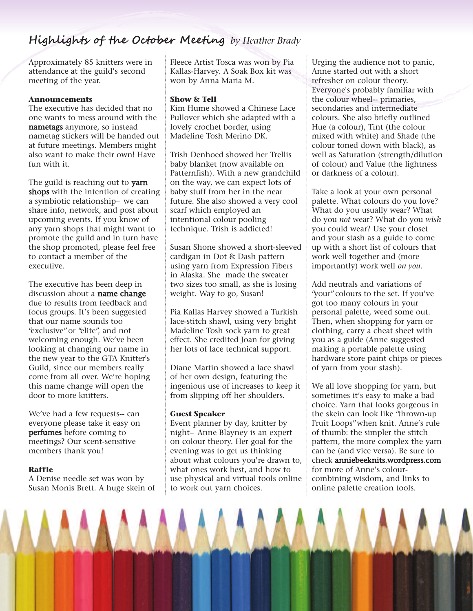## **Highlights of the October Meeting** *by Heather Brady*

Approximately 85 knitters were in attendance at the guild's second meeting of the year.

#### **Announcements**

The executive has decided that no one wants to mess around with the nametags anymore, so instead nametag stickers will be handed out at future meetings. Members might also want to make their own! Have fun with it.

The guild is reaching out to yarn shops with the intention of creating a symbiotic relationship– we can share info, network, and post about upcoming events. If you know of any yarn shops that might want to promote the guild and in turn have the shop promoted, please feel free to contact a member of the executive.

The executive has been deep in discussion about a name change due to results from feedback and focus groups. It's been suggested that our name sounds too "exclusive"or "elite", and not welcoming enough. We've been looking at changing our name in the new year to the GTA Knitter's Guild, since our members really come from all over. We're hoping this name change will open the door to more knitters.

We've had a few requests-- can everyone please take it easy on perfumes before coming to meetings? Our scent-sensitive members thank you!

#### **Raffle**

A Denise needle set was won by Susan Monis Brett. A huge skein of Fleece Artist Tosca was won by Pia Kallas-Harvey. A Soak Box kit was won by Anna Maria M.

#### **Show & Tell**

Kim Hume showed a Chinese Lace Pullover which she adapted with a lovely crochet border, using Madeline Tosh Merino DK.

Trish Denhoed showed her Trellis baby blanket (now available on Patternfish). With a new grandchild on the way, we can expect lots of baby stuff from her in the near future. She also showed a very cool scarf which employed an intentional colour pooling technique. Trish is addicted!

Susan Shone showed a short-sleeved cardigan in Dot & Dash pattern using yarn from Expression Fibers in Alaska. She made the sweater two sizes too small, as she is losing weight. Way to go, Susan!

Pia Kallas Harvey showed a Turkish lace-stitch shawl, using very bright Madeline Tosh sock yarn to great effect. She credited Joan for giving her lots of lace technical support.

Diane Martin showed a lace shawl of her own design, featuring the ingenious use of increases to keep it from slipping off her shoulders.

#### **Guest Speaker**

Event planner by day, knitter by night– Anne Blayney is an expert on colour theory. Her goal for the evening was to get us thinking about what colours you're drawn to, what ones work best, and how to use physical and virtual tools online to work out yarn choices.

Urging the audience not to panic, Anne started out with a short refresher on colour theory. Everyone's probably familiar with the colour wheel-- primaries, secondaries and intermediate colours. She also briefly outlined Hue (a colour), Tint (the colour mixed with white) and Shade (the colour toned down with black), as well as Saturation (strength/dilution of colour) and Value (the lightness or darkness of a colour).

Take a look at your own personal palette. What colours do you love? What do you usually wear? What do you *not* wear? What do you *wish* you could wear? Use your closet and your stash as a guide to come up with a short list of colours that work well together and (more importantly) work well *on you*.

Add neutrals and variations of "your"colours to the set. If you've got too many colours in your personal palette, weed some out. Then, when shopping for yarn or clothing, carry a cheat sheet with you as a guide (Anne suggested making a portable palette using hardware store paint chips or pieces of yarn from your stash).

We all love shopping for yarn, but sometimes it's easy to make a bad choice. Yarn that looks gorgeous in the skein can look like "thrown-up Fruit Loops"when knit. Anne's rule of thumb: the simpler the stitch pattern, the more complex the yarn can be (and vice versa). Be sure to check anniebeeknits.wordpress.com for more of Anne's colourcombining wisdom, and links to online palette creation tools.

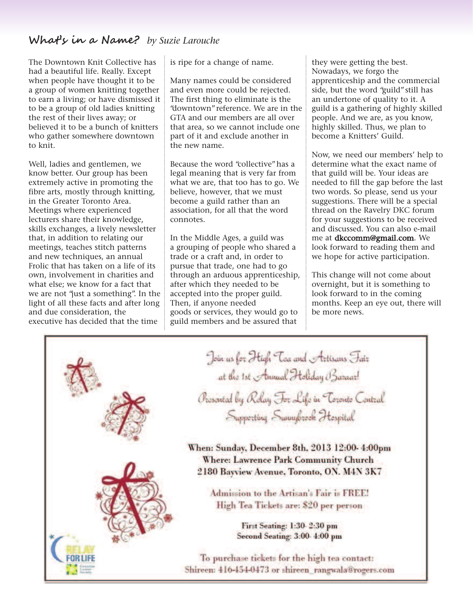## **What's in a Name?** *by Suzie Larouche*

The Downtown Knit Collective has had a beautiful life. Really. Except when people have thought it to be a group of women knitting together to earn a living; or have dismissed it to be a group of old ladies knitting the rest of their lives away; or believed it to be a bunch of knitters who gather somewhere downtown to knit.

Well, ladies and gentlemen, we know better. Our group has been extremely active in promoting the fibre arts, mostly through knitting, in the Greater Toronto Area. Meetings where experienced lecturers share their knowledge, skills exchanges, a lively newsletter that, in addition to relating our meetings, teaches stitch patterns and new techniques, an annual Frolic that has taken on a life of its own, involvement in charities and what else; we know for a fact that we are not "just a something". In the light of all these facts and after long and due consideration, the executive has decided that the time

is ripe for a change of name.

Many names could be considered and even more could be rejected. The first thing to eliminate is the "downtown"reference. We are in the GTA and our members are all over that area, so we cannot include one part of it and exclude another in the new name.

Because the word "collective"has a legal meaning that is very far from what we are, that too has to go. We believe, however, that we must become a guild rather than an association, for all that the word connotes.

In the Middle Ages, a guild was a grouping of people who shared a trade or a craft and, in order to pursue that trade, one had to go through an arduous apprenticeship, after which they needed to be accepted into the proper guild. Then, if anyone needed goods or services, they would go to guild members and be assured that

they were getting the best. Nowadays, we forgo the apprenticeship and the commercial side, but the word "guild"still has an undertone of quality to it. A guild is a gathering of highly skilled people. And we are, as you know, highly skilled. Thus, we plan to become a Knitters' Guild.

Now, we need our members' help to determine what the exact name of that guild will be. Your ideas are needed to fill the gap before the last two words. So please, send us your suggestions. There will be a special thread on the Ravelry DKC forum for your suggestions to be received and discussed. You can also e-mail me at dkccomm@gmail.com. We look forward to reading them and we hope for active participation.

This change will not come about overnight, but it is something to look forward to in the coming months. Keep an eye out, there will be more news.